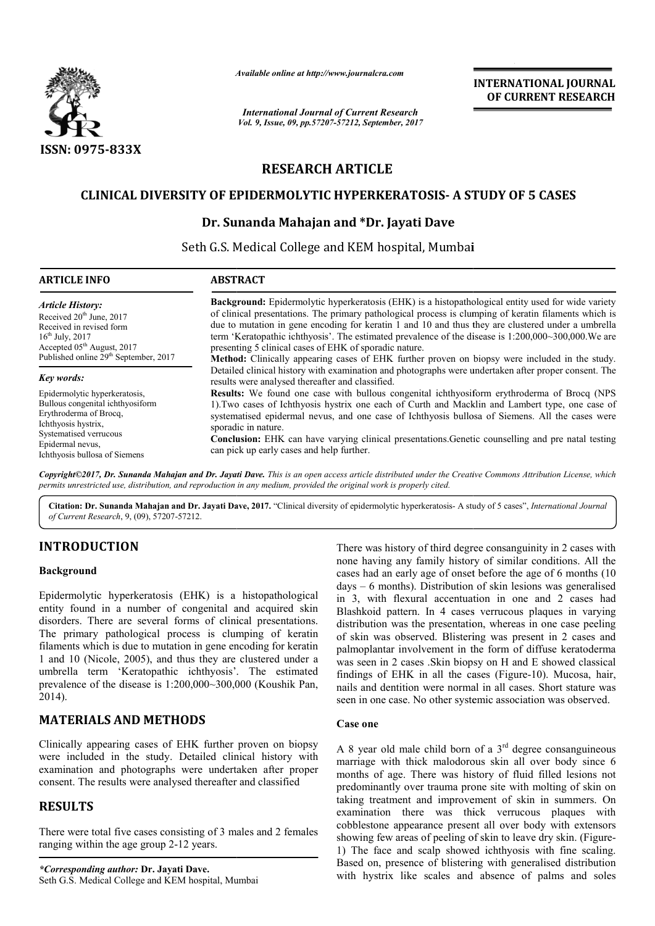

*Available online at http://www.journal http://www.journalcra.com*

# **RESEARCH ARTICLE**

# **CLINICAL DIVERSITY OF EPIDERMOLYTIC HYPERKERATOSIS HYPERKERATOSIS- A STUDY OF 5 CASES**

## **Dr. Sunanda Mahajan and \*Dr. Jayati Dave**

|                                                                                                                                                                                                                                                                                                                                                                                                                                                                                                                            | атишно опине и пир.//www.journucru.com                                                                                                                                                                                                                                                                                                                                                                                         | <b>INTERNATIONAL JOURNAL</b><br>OF CURRENT RESEARCH                                                                                                                                                                                                                                                                                                                                                                                                                                                                                                                                                                                                          |  |  |  |
|----------------------------------------------------------------------------------------------------------------------------------------------------------------------------------------------------------------------------------------------------------------------------------------------------------------------------------------------------------------------------------------------------------------------------------------------------------------------------------------------------------------------------|--------------------------------------------------------------------------------------------------------------------------------------------------------------------------------------------------------------------------------------------------------------------------------------------------------------------------------------------------------------------------------------------------------------------------------|--------------------------------------------------------------------------------------------------------------------------------------------------------------------------------------------------------------------------------------------------------------------------------------------------------------------------------------------------------------------------------------------------------------------------------------------------------------------------------------------------------------------------------------------------------------------------------------------------------------------------------------------------------------|--|--|--|
|                                                                                                                                                                                                                                                                                                                                                                                                                                                                                                                            |                                                                                                                                                                                                                                                                                                                                                                                                                                | <b>International Journal of Current Research</b><br>Vol. 9, Issue, 09, pp.57207-57212, September, 2017                                                                                                                                                                                                                                                                                                                                                                                                                                                                                                                                                       |  |  |  |
| ISSN: 0975-833X                                                                                                                                                                                                                                                                                                                                                                                                                                                                                                            |                                                                                                                                                                                                                                                                                                                                                                                                                                |                                                                                                                                                                                                                                                                                                                                                                                                                                                                                                                                                                                                                                                              |  |  |  |
|                                                                                                                                                                                                                                                                                                                                                                                                                                                                                                                            | <b>RESEARCH ARTICLE</b>                                                                                                                                                                                                                                                                                                                                                                                                        |                                                                                                                                                                                                                                                                                                                                                                                                                                                                                                                                                                                                                                                              |  |  |  |
|                                                                                                                                                                                                                                                                                                                                                                                                                                                                                                                            |                                                                                                                                                                                                                                                                                                                                                                                                                                | <b>CLINICAL DIVERSITY OF EPIDERMOLYTIC HYPERKERATOSIS- A STUDY OF 5 CASES</b>                                                                                                                                                                                                                                                                                                                                                                                                                                                                                                                                                                                |  |  |  |
|                                                                                                                                                                                                                                                                                                                                                                                                                                                                                                                            |                                                                                                                                                                                                                                                                                                                                                                                                                                | Dr. Sunanda Mahajan and *Dr. Jayati Dave                                                                                                                                                                                                                                                                                                                                                                                                                                                                                                                                                                                                                     |  |  |  |
|                                                                                                                                                                                                                                                                                                                                                                                                                                                                                                                            |                                                                                                                                                                                                                                                                                                                                                                                                                                | Seth G.S. Medical College and KEM hospital, Mumbai                                                                                                                                                                                                                                                                                                                                                                                                                                                                                                                                                                                                           |  |  |  |
|                                                                                                                                                                                                                                                                                                                                                                                                                                                                                                                            |                                                                                                                                                                                                                                                                                                                                                                                                                                |                                                                                                                                                                                                                                                                                                                                                                                                                                                                                                                                                                                                                                                              |  |  |  |
| <b>ARTICLE INFO</b>                                                                                                                                                                                                                                                                                                                                                                                                                                                                                                        | <b>ABSTRACT</b>                                                                                                                                                                                                                                                                                                                                                                                                                |                                                                                                                                                                                                                                                                                                                                                                                                                                                                                                                                                                                                                                                              |  |  |  |
| <b>Article History:</b><br>Received 20 <sup>th</sup> June, 2017<br>Received in revised form<br>$16^{th}$ July, 2017<br>Accepted 05 <sup>th</sup> August, 2017<br>Published online 29 <sup>th</sup> September, 2017                                                                                                                                                                                                                                                                                                         | presenting 5 clinical cases of EHK of sporadic nature.                                                                                                                                                                                                                                                                                                                                                                         | Background: Epidermolytic hyperkeratosis (EHK) is a histopathological entity used for wide variety<br>of clinical presentations. The primary pathological process is clumping of keratin filaments which is<br>due to mutation in gene encoding for keratin 1 and 10 and thus they are clustered under a umbrella<br>term 'Keratopathic ichthyosis'. The estimated prevalence of the disease is 1:200,000~300,000. We are<br>Method: Clinically appearing cases of EHK further proven on biopsy were included in the study.                                                                                                                                  |  |  |  |
| Key words:                                                                                                                                                                                                                                                                                                                                                                                                                                                                                                                 | results were analysed thereafter and classified.                                                                                                                                                                                                                                                                                                                                                                               | Detailed clinical history with examination and photographs were undertaken after proper consent. The                                                                                                                                                                                                                                                                                                                                                                                                                                                                                                                                                         |  |  |  |
| Epidermolytic hyperkeratosis,<br>Bullous congenital ichthyosiform<br>Erythroderma of Brocq,<br>Ichthyosis hystrix,<br>Systematised verrucous<br>Epidermal nevus,                                                                                                                                                                                                                                                                                                                                                           | Results: We found one case with bullous congenital ichthyosiform erythroderma of Brocq (NPS<br>1). Two cases of Ichthyosis hystrix one each of Curth and Macklin and Lambert type, one case of<br>systematised epidermal nevus, and one case of Ichthyosis bullosa of Siemens. All the cases were<br>sporadic in nature.<br>Conclusion: EHK can have varying clinical presentations. Genetic counselling and pre natal testing |                                                                                                                                                                                                                                                                                                                                                                                                                                                                                                                                                                                                                                                              |  |  |  |
| Ichthyosis bullosa of Siemens                                                                                                                                                                                                                                                                                                                                                                                                                                                                                              | can pick up early cases and help further.                                                                                                                                                                                                                                                                                                                                                                                      |                                                                                                                                                                                                                                                                                                                                                                                                                                                                                                                                                                                                                                                              |  |  |  |
| permits unrestricted use, distribution, and reproduction in any medium, provided the original work is properly cited.                                                                                                                                                                                                                                                                                                                                                                                                      |                                                                                                                                                                                                                                                                                                                                                                                                                                | Copyright©2017, Dr. Sunanda Mahajan and Dr. Jayati Dave. This is an open access article distributed under the Creative Commons Attribution License, which                                                                                                                                                                                                                                                                                                                                                                                                                                                                                                    |  |  |  |
| of Current Research, 9, (09), 57207-57212.                                                                                                                                                                                                                                                                                                                                                                                                                                                                                 |                                                                                                                                                                                                                                                                                                                                                                                                                                | Citation: Dr. Sunanda Mahajan and Dr. Jayati Dave, 2017. "Clinical diversity of epidermolytic hyperkeratosis- A study of 5 cases", International Journal                                                                                                                                                                                                                                                                                                                                                                                                                                                                                                     |  |  |  |
| <b>INTRODUCTION</b>                                                                                                                                                                                                                                                                                                                                                                                                                                                                                                        |                                                                                                                                                                                                                                                                                                                                                                                                                                | There was history of third degree consanguinity in 2 cases with                                                                                                                                                                                                                                                                                                                                                                                                                                                                                                                                                                                              |  |  |  |
| <b>Background</b>                                                                                                                                                                                                                                                                                                                                                                                                                                                                                                          |                                                                                                                                                                                                                                                                                                                                                                                                                                | none having any family history of similar conditions. All the<br>cases had an early age of onset before the age of 6 months (10                                                                                                                                                                                                                                                                                                                                                                                                                                                                                                                              |  |  |  |
| Epidermolytic hyperkeratosis (EHK) is a histopathological<br>entity found in a number of congenital and acquired skin<br>disorders. There are several forms of clinical presentations.<br>The primary pathological process is clumping of keratin<br>filaments which is due to mutation in gene encoding for keratin<br>1 and 10 (Nicole, 2005), and thus they are clustered under a<br>umbrella term 'Keratopathic ichthyosis'. The estimated<br>prevalence of the disease is $1:200,000~300,000$ (Koushik Pan,<br>2014). |                                                                                                                                                                                                                                                                                                                                                                                                                                | $days - 6$ months). Distribution of skin lesions was generalised<br>in 3, with flexural accentuation in one and 2 cases had<br>Blashkoid pattern. In 4 cases verrucous plaques in varying<br>distribution was the presentation, whereas in one case peeling<br>of skin was observed. Blistering was present in 2 cases and<br>palmoplantar involvement in the form of diffuse keratoderma<br>was seen in 2 cases .Skin biopsy on H and E showed classical<br>findings of EHK in all the cases (Figure-10). Mucosa, hair,<br>nails and dentition were normal in all cases. Short stature was<br>seen in one case. No other systemic association was observed. |  |  |  |
| <b>MATERIALS AND METHODS</b>                                                                                                                                                                                                                                                                                                                                                                                                                                                                                               |                                                                                                                                                                                                                                                                                                                                                                                                                                | <b>Case one</b>                                                                                                                                                                                                                                                                                                                                                                                                                                                                                                                                                                                                                                              |  |  |  |
| Clinically appearing cases of EHK further proven on biopsy<br>were included in the study. Detailed clinical history with<br>examination and photographs were undertaken after proper<br>consent. The results were analysed thereafter and classified                                                                                                                                                                                                                                                                       |                                                                                                                                                                                                                                                                                                                                                                                                                                | A 8 year old male child born of a $3rd$ degree consanguineous<br>marriage with thick malodorous skin all over body since 6<br>months of age. There was history of fluid filled lesions not<br>predominantly over trauma prone site with molting of skin on                                                                                                                                                                                                                                                                                                                                                                                                   |  |  |  |
| <b>RESULTS</b>                                                                                                                                                                                                                                                                                                                                                                                                                                                                                                             |                                                                                                                                                                                                                                                                                                                                                                                                                                | taking treatment and improvement of skin in summers. On<br>examination there was thick verrucous plaques with                                                                                                                                                                                                                                                                                                                                                                                                                                                                                                                                                |  |  |  |
| There were total five cases consisting of 3 males and 2 females<br>ranging within the age group 2-12 years.                                                                                                                                                                                                                                                                                                                                                                                                                |                                                                                                                                                                                                                                                                                                                                                                                                                                | cobblestone appearance present all over body with extensors<br>showing few areas of peeling of skin to leave dry skin. (Figure-<br>1) The face and scalp showed ichthyosis with fine scaling.                                                                                                                                                                                                                                                                                                                                                                                                                                                                |  |  |  |
| *Corresponding author: Dr. Jayati Dave.<br>Seth G.S. Medical College and KEM bosnital Mumbai                                                                                                                                                                                                                                                                                                                                                                                                                               |                                                                                                                                                                                                                                                                                                                                                                                                                                | Based on, presence of blistering with generalised distribution<br>with hystrix like scales and absence of palms and soles                                                                                                                                                                                                                                                                                                                                                                                                                                                                                                                                    |  |  |  |

## **INTRODUCTION**

#### **Background**

## **MATERIALS AND METHODS**

## **RESULTS**

#### **Case one**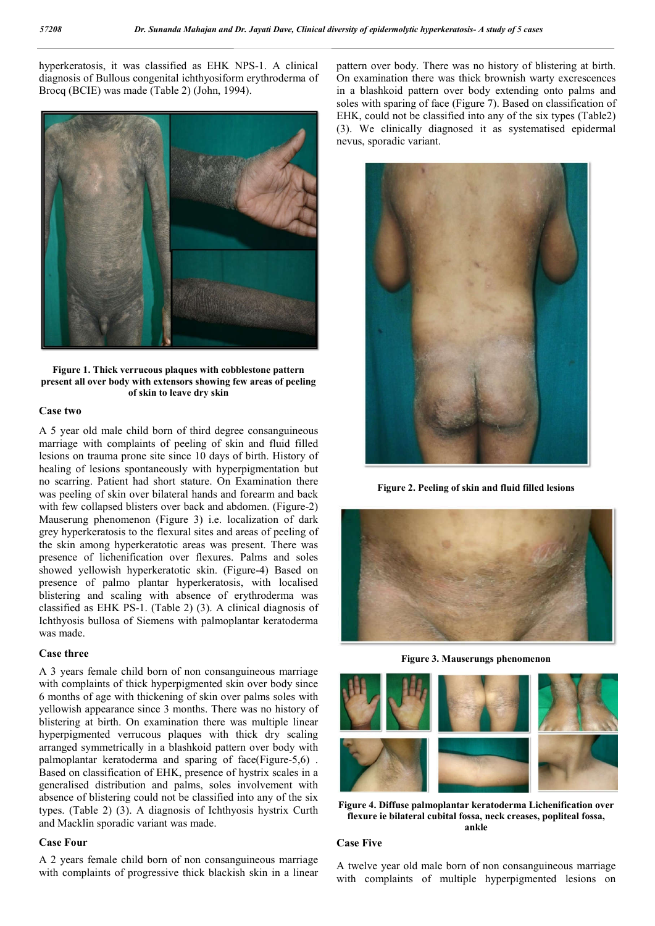hyperkeratosis, it was classified as EHK NPS-1. A clinical diagnosis of Bullous congenital ichthyosiform erythroderma of Brocq (BCIE) was made (Table 2) (John, 1994).



**Figure 1. Thick verrucous plaques with cobblestone pattern present all over body with extensors showing few areas of peeling of skin to leave dry skin**

### **Case two**

A 5 year old male child born of third degree consanguineous marriage with complaints of peeling of skin and fluid filled lesions on trauma prone site since 10 days of birth. History of healing of lesions spontaneously with hyperpigmentation but no scarring. Patient had short stature. On Examination there was peeling of skin over bilateral hands and forearm and back with few collapsed blisters over back and abdomen. (Figure-2) Mauserung phenomenon (Figure 3) i.e. localization of dark grey hyperkeratosis to the flexural sites and areas of peeling of the skin among hyperkeratotic areas was present. There was presence of lichenification over flexures. Palms and soles showed yellowish hyperkeratotic skin. (Figure-4) Based on presence of palmo plantar hyperkeratosis, with localised blistering and scaling with absence of erythroderma was classified as EHK PS-1. (Table 2) (3). A clinical diagnosis of Ichthyosis bullosa of Siemens with palmoplantar keratoderma was made.

### **Case three**

A 3 years female child born of non consanguineous marriage with complaints of thick hyperpigmented skin over body since 6 months of age with thickening of skin over palms soles with yellowish appearance since 3 months. There was no history of blistering at birth. On examination there was multiple linear hyperpigmented verrucous plaques with thick dry scaling arranged symmetrically in a blashkoid pattern over body with palmoplantar keratoderma and sparing of face(Figure-5,6) . Based on classification of EHK, presence of hystrix scales in a generalised distribution and palms, soles involvement with absence of blistering could not be classified into any of the six types. (Table 2) (3). A diagnosis of Ichthyosis hystrix Curth and Macklin sporadic variant was made.

#### **Case Four**

A 2 years female child born of non consanguineous marriage with complaints of progressive thick blackish skin in a linear pattern over body. There was no history of blistering at birth. On examination there was thick brownish warty excrescences in a blashkoid pattern over body extending onto palms and soles with sparing of face (Figure 7). Based on classification of EHK, could not be classified into any of the six types (Table2) (3). We clinically diagnosed it as systematised epidermal nevus, sporadic variant.



**Figure 2. Peeling of skin and fluid filled lesions**



**Figure 3. Mauserungs phenomenon**



**Figure 4. Diffuse palmoplantar keratoderma Lichenification over flexure ie bilateral cubital fossa, neck creases, popliteal fossa, ankle**

#### **Case Five**

A twelve year old male born of non consanguineous marriage with complaints of multiple hyperpigmented lesions on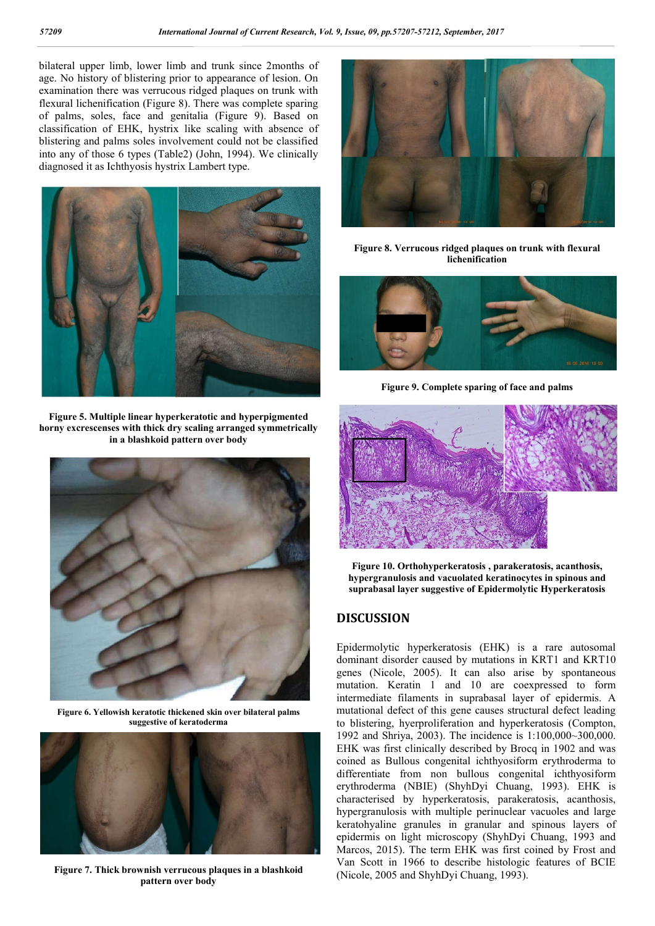bilateral upper limb, lower limb and trunk since 2months of age. No history of blistering prior to appearance of lesion. On examination there was verrucous ridged plaques on trunk with flexural lichenification (Figure 8). There was complete sparing of palms, soles, face and genitalia (Figure 9). Based on classification of EHK, hystrix like scaling with absence of blistering and palms soles involvement could not be classified into any of those 6 types (Table2) (John, 1994). We clinically diagnosed it as Ichthyosis hystrix Lambert type.



**Figure 5. Multiple linear hyperkeratotic and hyperpigmented horny excrescenses with thick dry scaling arranged symmetrically in a blashkoid pattern over body**



**Figure 6. Yellowish keratotic thickened skin over bilateral palms suggestive of keratoderma**



**Figure 7. Thick brownish verrucous plaques in a blashkoid pattern over body**



**Figure 8. Verrucous ridged plaques on trunk with flexural lichenification**



**Figure 9. Complete sparing of face and palms**



**Figure 10. Orthohyperkeratosis , parakeratosis, acanthosis, hypergranulosis and vacuolated keratinocytes in spinous and suprabasal layer suggestive of Epidermolytic Hyperkeratosis**

## **DISCUSSION**

Epidermolytic hyperkeratosis (EHK) is a rare autosomal dominant disorder caused by mutations in KRT1 and KRT10 genes (Nicole, 2005). It can also arise by spontaneous mutation. Keratin 1 and 10 are coexpressed to form intermediate filaments in suprabasal layer of epidermis. A mutational defect of this gene causes structural defect leading to blistering, hyerproliferation and hyperkeratosis (Compton, 1992 and Shriya, 2003). The incidence is 1:100,000~300,000. EHK was first clinically described by Brocq in 1902 and was coined as Bullous congenital ichthyosiform erythroderma to differentiate from non bullous congenital ichthyosiform erythroderma (NBIE) (ShyhDyi Chuang, 1993). EHK is characterised by hyperkeratosis, parakeratosis, acanthosis, hypergranulosis with multiple perinuclear vacuoles and large keratohyaline granules in granular and spinous layers of epidermis on light microscopy (ShyhDyi Chuang, 1993 and Marcos, 2015). The term EHK was first coined by Frost and Van Scott in 1966 to describe histologic features of BCIE (Nicole, 2005 and ShyhDyi Chuang, 1993).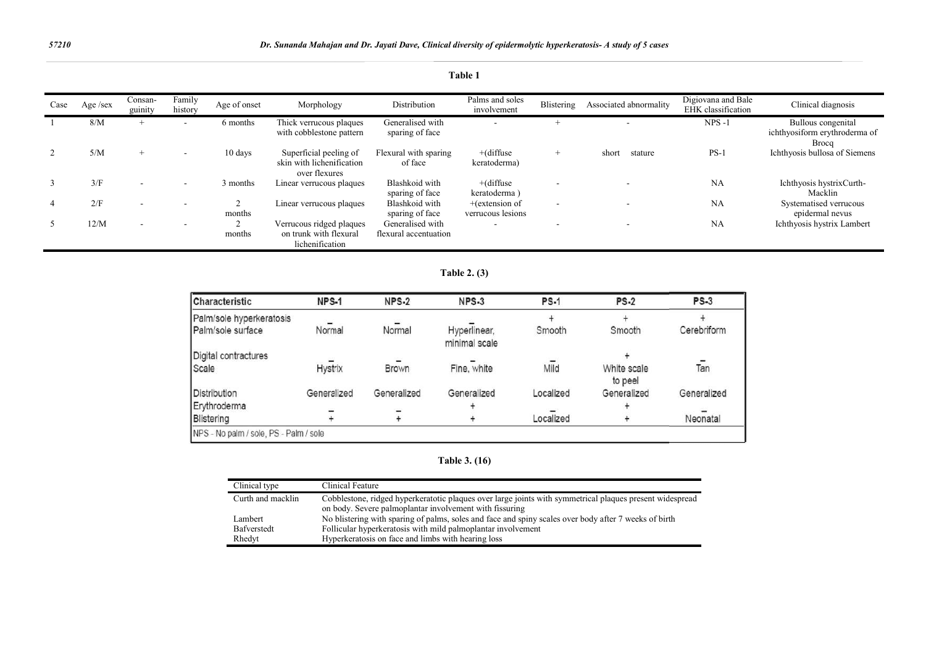| Case | Age /sex | Consan-<br>guinity       | Family<br>history        | Age of onset | Morphology                                                            | Distribution                              | Palms and soles<br>involvement         | Blistering               | Associated abnormality | Digiovana and Bale<br>EHK classification | Clinical diagnosis                                                  |
|------|----------|--------------------------|--------------------------|--------------|-----------------------------------------------------------------------|-------------------------------------------|----------------------------------------|--------------------------|------------------------|------------------------------------------|---------------------------------------------------------------------|
|      | 8/M      | $\pm$                    | $\overline{\phantom{a}}$ | 6 months     | Thick verrucous plaques<br>with cobblestone pattern                   | Generalised with<br>sparing of face       | $\overline{\phantom{a}}$               |                          |                        | $NPS -1$                                 | Bullous congenital<br>ichthyosiform erythroderma of<br><b>Brocq</b> |
|      | 5/M      | $+$                      | $\sim$                   | 10 days      | Superficial peeling of<br>skin with lichenification<br>over flexures  | Flexural with sparing<br>of face          | $+(diffuse$<br>keratoderma)            | $+$                      | short<br>stature       | $PS-1$                                   | Ichthyosis bullosa of Siemens                                       |
| 3    | 3/F      | $\overline{\phantom{a}}$ | $\sim$                   | 3 months     | Linear verrucous plaques                                              | Blashkoid with<br>sparing of face         | $+(diffuse$<br>keratoderma)            |                          |                        | <b>NA</b>                                | Ichthyosis hystrixCurth-<br>Macklin                                 |
|      | 2/F      | $\overline{\phantom{a}}$ |                          | months       | Linear verrucous plaques                                              | Blashkoid with<br>sparing of face         | $+$ (extension of<br>verrucous lesions | $\overline{\phantom{a}}$ |                        | NA                                       | Systematised verrucous<br>epidermal nevus                           |
|      | 12/M     |                          | . .                      | months       | Verrucous ridged plaques<br>on trunk with flexural<br>lichenification | Generalised with<br>flexural accentuation | $\overline{\phantom{a}}$               |                          |                        | NA                                       | Ichthyosis hystrix Lambert                                          |

### **Table 1**

**Table 2. (3)**

| Characteristic           | NPS-1       | NPS-2       | $NPS-3$                       | <b>PS-1</b> | <b>PS-2</b>            | <b>PS-3</b> |
|--------------------------|-------------|-------------|-------------------------------|-------------|------------------------|-------------|
| Palm/sole hyperkeratosis |             |             |                               |             |                        |             |
| Palm/sole surface        | Normal      | Normal      | Hyperlinear,<br>minimal scale | Smooth      | Smooth                 | Cerebriform |
| Digital contractures     |             |             |                               |             |                        |             |
| Scale                    | Hystrix     | Brown       | Fine, white                   | Mild        | White scale<br>to peel | Tan         |
| Distribution             | Generalized | Generalized | Generalized                   | Localized   | Generalized            | Generalized |
| Erythroderma             |             |             |                               |             |                        |             |
| Blistering               |             |             |                               | Localized   |                        | Neonatal    |

**Table 3. (16)**

| Clinical type     | Clinical Feature                                                                                         |
|-------------------|----------------------------------------------------------------------------------------------------------|
| Curth and macklin | Cobblestone, ridged hyperkeratotic plaques over large joints with symmetrical plaques present widespread |
|                   | on body. Severe palmoplantar involvement with fissuring                                                  |
| Lambert           | No blistering with sparing of palms, soles and face and spiny scales over body after 7 weeks of birth    |
| Bafverstedt       | Follicular hyperkeratosis with mild palmoplantar involvement                                             |
| Rhedyt            | Hyperkeratosis on face and limbs with hearing loss                                                       |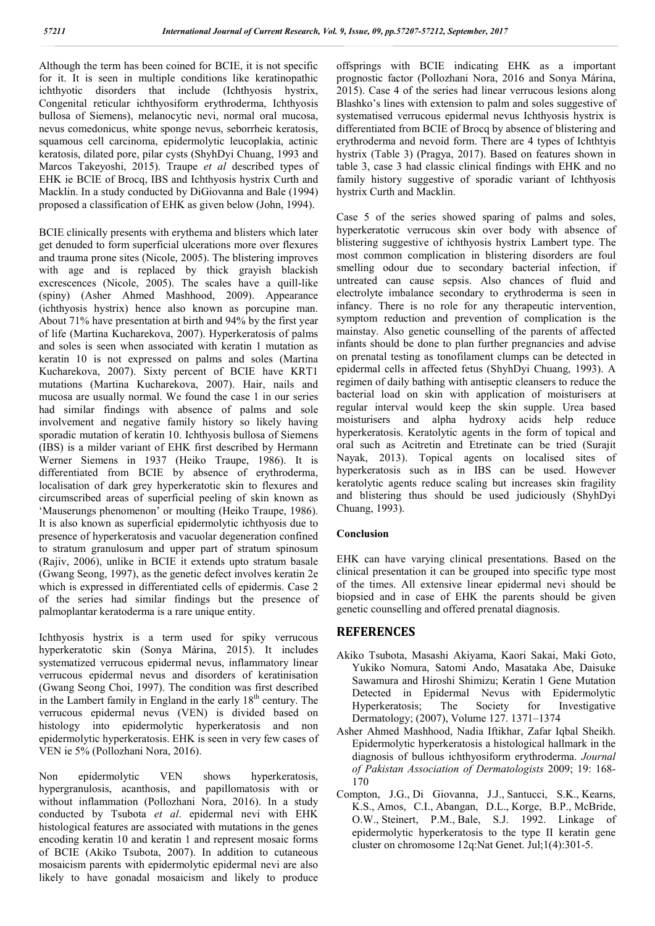Although the term has been coined for BCIE, it is not specific for it. It is seen in multiple conditions like keratinopathic ichthyotic disorders that include (Ichthyosis hystrix, Congenital reticular ichthyosiform erythroderma, Ichthyosis bullosa of Siemens), melanocytic nevi, normal oral mucosa, nevus comedonicus, white sponge nevus, seborrheic keratosis, squamous cell carcinoma, epidermolytic leucoplakia, actinic keratosis, dilated pore, pilar cysts (ShyhDyi Chuang, 1993 and Marcos Takeyoshi, 2015). Traupe *et al* described types of EHK ie BCIE of Brocq, IBS and Ichthyosis hystrix Curth and Macklin. In a study conducted by DiGiovanna and Bale (1994) proposed a classification of EHK as given below (John, 1994).

BCIE clinically presents with erythema and blisters which later get denuded to form superficial ulcerations more over flexures and trauma prone sites (Nicole, 2005). The blistering improves with age and is replaced by thick grayish blackish excrescences (Nicole, 2005). The scales have a quill-like (spiny) (Asher Ahmed Mashhood, 2009). Appearance (ichthyosis hystrix) hence also known as porcupine man. About 71% have presentation at birth and 94% by the first year of life (Martina Kucharekova, 2007). Hyperkeratosis of palms and soles is seen when associated with keratin 1 mutation as keratin 10 is not expressed on palms and soles (Martina Kucharekova, 2007). Sixty percent of BCIE have KRT1 mutations (Martina Kucharekova, 2007). Hair, nails and mucosa are usually normal. We found the case 1 in our series had similar findings with absence of palms and sole involvement and negative family history so likely having sporadic mutation of keratin 10. Ichthyosis bullosa of Siemens (IBS) is a milder variant of EHK first described by Hermann Werner Siemens in 1937 (Heiko Traupe, 1986). It is differentiated from BCIE by absence of erythroderma, localisation of dark grey hyperkeratotic skin to flexures and circumscribed areas of superficial peeling of skin known as 'Mauserungs phenomenon' or moulting (Heiko Traupe, 1986). It is also known as superficial epidermolytic ichthyosis due to presence of hyperkeratosis and vacuolar degeneration confined to stratum granulosum and upper part of stratum spinosum (Rajiv, 2006), unlike in BCIE it extends upto stratum basale (Gwang Seong, 1997), as the genetic defect involves keratin 2e which is expressed in differentiated cells of epidermis. Case 2 of the series had similar findings but the presence of palmoplantar keratoderma is a rare unique entity.

Ichthyosis hystrix is a term used for spiky verrucous hyperkeratotic skin (Sonya Márina, 2015). It includes systematized verrucous epidermal nevus, inflammatory linear verrucous epidermal nevus and disorders of keratinisation (Gwang Seong Choi, 1997). The condition was first described in the Lambert family in England in the early  $18<sup>th</sup>$  century. The verrucous epidermal nevus (VEN) is divided based on histology into epidermolytic hyperkeratosis and non epidermolytic hyperkeratosis. EHK is seen in very few cases of VEN ie 5% (Pollozhani Nora, 2016).

Non epidermolytic VEN shows hyperkeratosis, hypergranulosis, acanthosis, and papillomatosis with or without inflammation (Pollozhani Nora, 2016). In a study conducted by Tsubota *et al*. epidermal nevi with EHK histological features are associated with mutations in the genes encoding keratin 10 and keratin 1 and represent mosaic forms of BCIE (Akiko Tsubota, 2007). In addition to cutaneous mosaicism parents with epidermolytic epidermal nevi are also likely to have gonadal mosaicism and likely to produce

offsprings with BCIE indicating EHK as a important prognostic factor (Pollozhani Nora, 2016 and Sonya Márina, 2015). Case 4 of the series had linear verrucous lesions along Blashko's lines with extension to palm and soles suggestive of systematised verrucous epidermal nevus Ichthyosis hystrix is differentiated from BCIE of Brocq by absence of blistering and erythroderma and nevoid form. There are 4 types of Ichthtyis hystrix (Table 3) (Pragya, 2017). Based on features shown in table 3, case 3 had classic clinical findings with EHK and no family history suggestive of sporadic variant of Ichthyosis hystrix Curth and Macklin.

Case 5 of the series showed sparing of palms and soles, hyperkeratotic verrucous skin over body with absence of blistering suggestive of ichthyosis hystrix Lambert type. The most common complication in blistering disorders are foul smelling odour due to secondary bacterial infection, if untreated can cause sepsis. Also chances of fluid and electrolyte imbalance secondary to erythroderma is seen in infancy. There is no role for any therapeutic intervention, symptom reduction and prevention of complication is the mainstay. Also genetic counselling of the parents of affected infants should be done to plan further pregnancies and advise on prenatal testing as tonofilament clumps can be detected in epidermal cells in affected fetus (ShyhDyi Chuang, 1993). A regimen of daily bathing with antiseptic cleansers to reduce the bacterial load on skin with application of moisturisers at regular interval would keep the skin supple. Urea based moisturisers and alpha hydroxy acids help reduce hyperkeratosis. Keratolytic agents in the form of topical and oral such as Acitretin and Etretinate can be tried (Surajit Nayak, 2013). Topical agents on localised sites of hyperkeratosis such as in IBS can be used. However keratolytic agents reduce scaling but increases skin fragility and blistering thus should be used judiciously (ShyhDyi Chuang, 1993).

## **Conclusion**

EHK can have varying clinical presentations. Based on the clinical presentation it can be grouped into specific type most of the times. All extensive linear epidermal nevi should be biopsied and in case of EHK the parents should be given genetic counselling and offered prenatal diagnosis.

## **REFERENCES**

- Akiko Tsubota, Masashi Akiyama, Kaori Sakai, Maki Goto, Yukiko Nomura, Satomi Ando, Masataka Abe, Daisuke Sawamura and Hiroshi Shimizu; Keratin 1 Gene Mutation Detected in Epidermal Nevus with Epidermolytic Hyperkeratosis; The Society for Investigative Dermatology; (2007), Volume 127. 1371–1374
- Asher Ahmed Mashhood, Nadia Iftikhar, Zafar Iqbal Sheikh. Epidermolytic hyperkeratosis a histological hallmark in the diagnosis of bullous ichthyosiform erythroderma. *Journal of Pakistan Association of Dermatologists* 2009; 19: 168- 170
- Compton, J.G., Di Giovanna, J.J., Santucci, S.K., Kearns, K.S., Amos, C.I., Abangan, D.L., Korge, B.P., McBride, O.W., Steinert, P.M., Bale, S.J. 1992. Linkage of epidermolytic hyperkeratosis to the type II keratin gene cluster on chromosome 12q:Nat Genet. Jul;1(4):301-5.